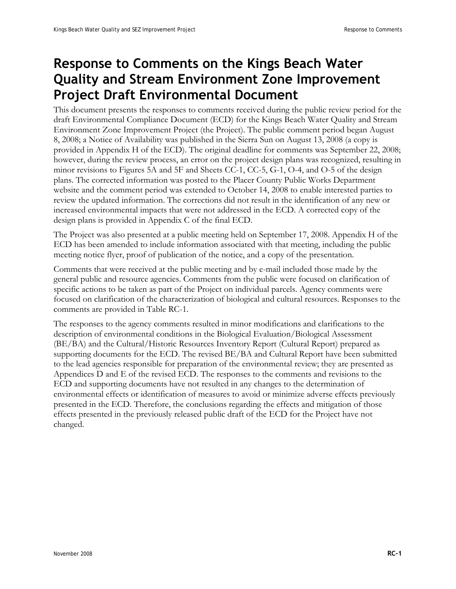## **Response to Comments on the Kings Beach Water Quality and Stream Environment Zone Improvement Project Draft Environmental Document**

This document presents the responses to comments received during the public review period for the draft Environmental Compliance Document (ECD) for the Kings Beach Water Quality and Stream Environment Zone Improvement Project (the Project). The public comment period began August 8, 2008; a Notice of Availability was published in the Sierra Sun on August 13, 2008 (a copy is provided in Appendix H of the ECD). The original deadline for comments was September 22, 2008; however, during the review process, an error on the project design plans was recognized, resulting in minor revisions to Figures 5A and 5F and Sheets CC-1, CC-5, G-1, O-4, and O-5 of the design plans. The corrected information was posted to the Placer County Public Works Department website and the comment period was extended to October 14, 2008 to enable interested parties to review the updated information. The corrections did not result in the identification of any new or increased environmental impacts that were not addressed in the ECD. A corrected copy of the design plans is provided in Appendix C of the final ECD.

The Project was also presented at a public meeting held on September 17, 2008. Appendix H of the ECD has been amended to include information associated with that meeting, including the public meeting notice flyer, proof of publication of the notice, and a copy of the presentation.

Comments that were received at the public meeting and by e-mail included those made by the general public and resource agencies. Comments from the public were focused on clarification of specific actions to be taken as part of the Project on individual parcels. Agency comments were focused on clarification of the characterization of biological and cultural resources. Responses to the comments are provided in Table RC-1.

The responses to the agency comments resulted in minor modifications and clarifications to the description of environmental conditions in the Biological Evaluation/Biological Assessment (BE/BA) and the Cultural/Historic Resources Inventory Report (Cultural Report) prepared as supporting documents for the ECD. The revised BE/BA and Cultural Report have been submitted to the lead agencies responsible for preparation of the environmental review; they are presented as Appendices D and E of the revised ECD. The responses to the comments and revisions to the ECD and supporting documents have not resulted in any changes to the determination of environmental effects or identification of measures to avoid or minimize adverse effects previously presented in the ECD. Therefore, the conclusions regarding the effects and mitigation of those effects presented in the previously released public draft of the ECD for the Project have not changed.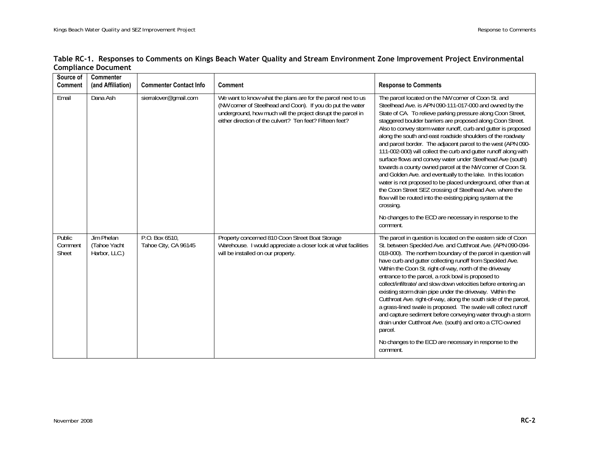|                            | Table RC-1. Responses to Comments on Kings Beach Water Quality and Stream Environment Zone Improvement Project Environmental |  |  |
|----------------------------|------------------------------------------------------------------------------------------------------------------------------|--|--|
| <b>Compliance Document</b> |                                                                                                                              |  |  |

| Source of<br><b>Comment</b> | <b>Commenter</b><br>(and Affiliation)       | <b>Commenter Contact Info</b>          | <b>Comment</b>                                                                                                                                                                                                                                         | <b>Response to Comments</b>                                                                                                                                                                                                                                                                                                                                                                                                                                                                                                                                                                                                                                                                                                                                                                                                                                                                                                                                                             |
|-----------------------------|---------------------------------------------|----------------------------------------|--------------------------------------------------------------------------------------------------------------------------------------------------------------------------------------------------------------------------------------------------------|-----------------------------------------------------------------------------------------------------------------------------------------------------------------------------------------------------------------------------------------------------------------------------------------------------------------------------------------------------------------------------------------------------------------------------------------------------------------------------------------------------------------------------------------------------------------------------------------------------------------------------------------------------------------------------------------------------------------------------------------------------------------------------------------------------------------------------------------------------------------------------------------------------------------------------------------------------------------------------------------|
| Email                       | Dana Ash                                    | sierralover@gmail.com                  | We want to know what the plans are for the parcel next to us<br>(NW corner of Steelhead and Coon). If you do put the water<br>underground, how much will the project disrupt the parcel in<br>either direction of the culvert? Ten feet? Fifteen feet? | The parcel located on the NW corner of Coon St. and<br>Steelhead Ave. is APN 090-111-017-000 and owned by the<br>State of CA. To relieve parking pressure along Coon Street,<br>staggered boulder barriers are proposed along Coon Street.<br>Also to convey storm water runoff, curb and gutter is proposed<br>along the south and east roadside shoulders of the roadway<br>and parcel border. The adjacent parcel to the west (APN 090-<br>111-002-000) will collect the curb and gutter runoff along with<br>surface flows and convey water under Steelhead Ave (south)<br>towards a county owned parcel at the NW corner of Coon St.<br>and Golden Ave. and eventually to the lake. In this location<br>water is not proposed to be placed underground, other than at<br>the Coon Street SEZ crossing of Steelhead Ave. where the<br>flow will be routed into the existing piping system at the<br>crossing.<br>No changes to the ECD are necessary in response to the<br>comment. |
| Public<br>Comment<br>Sheet  | Jim Phelan<br>(Tahoe Yacht<br>Harbor, LLC.) | P.O. Box 6510,<br>Tahoe City, CA 96145 | Property concerned 810 Coon Street Boat Storage<br>Warehouse. I would appreciate a closer look at what facilities<br>will be installed on our property.                                                                                                | The parcel in question is located on the eastern side of Coon<br>St. between Speckled Ave. and Cutthroat Ave. (APN 090-094-<br>018-000). The northern boundary of the parcel in question will<br>have curb and gutter collecting runoff from Speckled Ave.<br>Within the Coon St. right-of-way, north of the driveway<br>entrance to the parcel, a rock bowl is proposed to<br>collect/infiltrate/ and slow down velocities before entering an<br>existing storm drain pipe under the driveway. Within the<br>Cutthroat Ave. right-of-way, along the south side of the parcel,<br>a grass-lined swale is proposed. The swale will collect runoff<br>and capture sediment before conveying water through a storm<br>drain under Cutthroat Ave. (south) and onto a CTC-owned<br>parcel.<br>No changes to the ECD are necessary in response to the<br>comment.                                                                                                                             |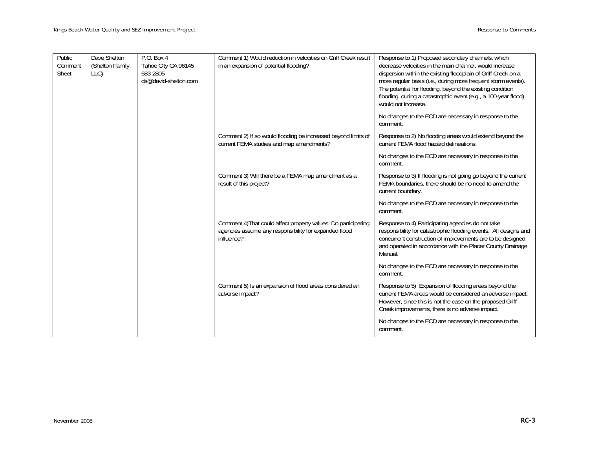| Public<br>Comment<br>Sheet | Dave Shelton<br>(Shelton Family,<br>LLC) | P.O. Box 4<br>Tahoe City CA 96145<br>583-2805<br>ds@david-shelton.com | Comment 1) Would reduction in velocities on Griff Creek result<br>in an expansion of potential flooding?                              | Response to 1) Proposed secondary channels, which<br>decrease velocities in the main channel, would increase<br>dispersion within the existing floodplain of Griff Creek on a<br>more regular basis (i.e., during more frequent storm events).<br>The potential for flooding, beyond the existing condition<br>flooding, during a catastrophic event (e.g., a 100-year flood)<br>would not increase. |
|----------------------------|------------------------------------------|-----------------------------------------------------------------------|---------------------------------------------------------------------------------------------------------------------------------------|------------------------------------------------------------------------------------------------------------------------------------------------------------------------------------------------------------------------------------------------------------------------------------------------------------------------------------------------------------------------------------------------------|
|                            |                                          |                                                                       |                                                                                                                                       | No changes to the ECD are necessary in response to the<br>comment.                                                                                                                                                                                                                                                                                                                                   |
|                            |                                          |                                                                       | Comment 2) If so would flooding be increased beyond limits of<br>current FEMA studies and map amendments?                             | Response to 2) No flooding areas would extend beyond the<br>current FEMA flood hazard delineations.                                                                                                                                                                                                                                                                                                  |
|                            |                                          |                                                                       |                                                                                                                                       | No changes to the ECD are necessary in response to the<br>comment.                                                                                                                                                                                                                                                                                                                                   |
|                            |                                          |                                                                       | Comment 3) Will there be a FEMA map amendment as a<br>result of this project?                                                         | Response to 3) If flooding is not going go beyond the current<br>FEMA boundaries, there should be no need to amend the<br>current boundary.                                                                                                                                                                                                                                                          |
|                            |                                          |                                                                       |                                                                                                                                       | No changes to the ECD are necessary in response to the<br>comment.                                                                                                                                                                                                                                                                                                                                   |
|                            |                                          |                                                                       | Comment 4) That could affect property values. Do participating<br>agencies assume any responsibility for expanded flood<br>influence? | Response to 4) Participating agencies do not take<br>responsibility for catastrophic flooding events. All designs and<br>concurrent construction of improvements are to be designed<br>and operated in accordance with the Placer County Drainage<br>Manual.                                                                                                                                         |
|                            |                                          |                                                                       |                                                                                                                                       | No changes to the ECD are necessary in response to the<br>comment.                                                                                                                                                                                                                                                                                                                                   |
|                            |                                          |                                                                       | Comment 5) Is an expansion of flood areas considered an<br>adverse impact?                                                            | Response to 5) Expansion of flooding areas beyond the<br>current FEMA areas would be considered an adverse impact.<br>However, since this is not the case on the proposed Griff<br>Creek improvements, there is no adverse impact.                                                                                                                                                                   |
|                            |                                          |                                                                       |                                                                                                                                       | No changes to the ECD are necessary in response to the<br>comment.                                                                                                                                                                                                                                                                                                                                   |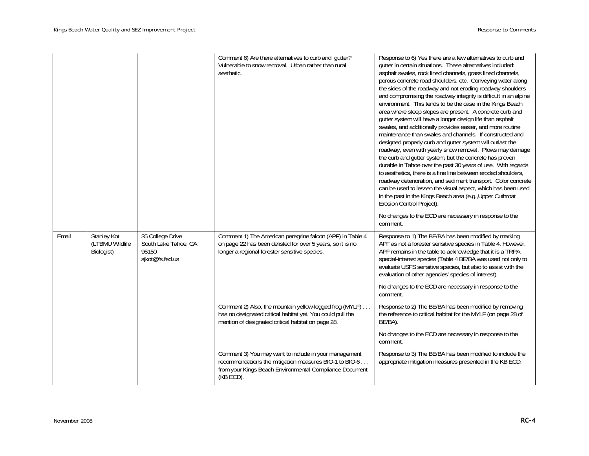|       |                                                     |                                                                      | Comment 6) Are there alternatives to curb and gutter?<br>Vulnerable to snow removal. Urban rather than rural<br>aesthetic.                                                              | Response to 6) Yes there are a few alternatives to curb and<br>gutter in certain situations. These alternatives included:<br>asphalt swales, rock lined channels, grass lined channels,<br>porous concrete road shoulders, etc. Conveying water along<br>the sides of the roadway and not eroding roadway shoulders<br>and compromising the roadway integrity is difficult in an alpine<br>environment. This tends to be the case in the Kings Beach<br>area where steep slopes are present. A concrete curb and<br>gutter system will have a longer design life than asphalt<br>swales, and additionally provides easier, and more routine<br>maintenance than swales and channels. If constructed and<br>designed properly curb and gutter system will outlast the<br>roadway, even with yearly snow removal. Plows may damage<br>the curb and gutter system, but the concrete has proven<br>durable in Tahoe over the past 30 years of use. With regards<br>to aesthetics, there is a fine line between eroded shoulders,<br>roadway deterioration, and sediment transport. Color concrete<br>can be used to lessen the visual aspect, which has been used<br>in the past in the Kings Beach area (e.g., Upper Cuthroat<br>Erosion Control Project). |
|-------|-----------------------------------------------------|----------------------------------------------------------------------|-----------------------------------------------------------------------------------------------------------------------------------------------------------------------------------------|---------------------------------------------------------------------------------------------------------------------------------------------------------------------------------------------------------------------------------------------------------------------------------------------------------------------------------------------------------------------------------------------------------------------------------------------------------------------------------------------------------------------------------------------------------------------------------------------------------------------------------------------------------------------------------------------------------------------------------------------------------------------------------------------------------------------------------------------------------------------------------------------------------------------------------------------------------------------------------------------------------------------------------------------------------------------------------------------------------------------------------------------------------------------------------------------------------------------------------------------------------|
|       |                                                     |                                                                      |                                                                                                                                                                                         | No changes to the ECD are necessary in response to the<br>comment.                                                                                                                                                                                                                                                                                                                                                                                                                                                                                                                                                                                                                                                                                                                                                                                                                                                                                                                                                                                                                                                                                                                                                                                      |
| Email | <b>Stanley Kot</b><br>(LTBMU Wildlife<br>Biologist) | 35 College Drive<br>South Lake Tahoe, CA<br>96150<br>sjkot@fs.fed.us | Comment 1) The American peregrine falcon (APF) in Table 4<br>on page 22 has been delisted for over 5 years, so it is no<br>longer a regional forester sensitive species.                | Response to 1) The BE/BA has been modified by marking<br>APF as not a forester sensitive species in Table 4. However,<br>APF remains in the table to acknowledge that it is a TRPA<br>special-interest species (Table 4 BE/BA was used not only to<br>evaluate USFS sensitive species, but also to assist with the<br>evaluation of other agencies' species of interest).                                                                                                                                                                                                                                                                                                                                                                                                                                                                                                                                                                                                                                                                                                                                                                                                                                                                               |
|       |                                                     |                                                                      |                                                                                                                                                                                         | No changes to the ECD are necessary in response to the<br>comment.                                                                                                                                                                                                                                                                                                                                                                                                                                                                                                                                                                                                                                                                                                                                                                                                                                                                                                                                                                                                                                                                                                                                                                                      |
|       |                                                     |                                                                      | Comment 2) Also, the mountain yellow-legged frog (MYLF)<br>has no designated critical habitat yet. You could pull the<br>mention of designated critical habitat on page 28.             | Response to 2) The BE/BA has been modified by removing<br>the reference to critical habitat for the MYLF (on page 28 of<br>BE/BA).                                                                                                                                                                                                                                                                                                                                                                                                                                                                                                                                                                                                                                                                                                                                                                                                                                                                                                                                                                                                                                                                                                                      |
|       |                                                     |                                                                      |                                                                                                                                                                                         | No changes to the ECD are necessary in response to the<br>comment.                                                                                                                                                                                                                                                                                                                                                                                                                                                                                                                                                                                                                                                                                                                                                                                                                                                                                                                                                                                                                                                                                                                                                                                      |
|       |                                                     |                                                                      | Comment 3) You may want to include in your management<br>recommendations the mitigation measures BIO-1 to BIO-6<br>from your Kings Beach Environmental Compliance Document<br>(KB ECD). | Response to 3) The BE/BA has been modified to include the<br>appropriate mitigation measures presented in the KB ECD.                                                                                                                                                                                                                                                                                                                                                                                                                                                                                                                                                                                                                                                                                                                                                                                                                                                                                                                                                                                                                                                                                                                                   |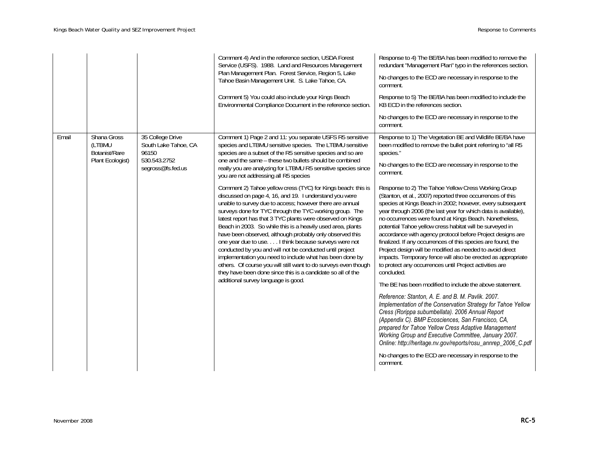|       |                                                            |                                                                                        | Comment 4) And in the reference section, USDA Forest<br>Service (USFS). 1988. Land and Resources Management<br>Plan Management Plan. Forest Service, Region 5, Lake<br>Tahoe Basin Management Unit. S. Lake Tahoe, CA.<br>Comment 5) You could also include your Kings Beach<br>Environmental Compliance Document in the reference section.                                                                                                                                                                                                                                                                                                                                                                                                                                                                                                                                                                                                                                                                                                                                                                                                                 | Response to 4) The BE/BA has been modified to remove the<br>redundant "Management Plan" typo in the references section.<br>No changes to the ECD are necessary in response to the<br>comment.<br>Response to 5) The BE/BA has been modified to include the<br>KB ECD in the references section.<br>No changes to the ECD are necessary in response to the<br>comment.                                                                                                                                                                                                                                                                                                                                                                                                                                                                                                                                                                                                                                                                                                                                                                                                                                                                                                                                                                                                                                                                                                      |
|-------|------------------------------------------------------------|----------------------------------------------------------------------------------------|-------------------------------------------------------------------------------------------------------------------------------------------------------------------------------------------------------------------------------------------------------------------------------------------------------------------------------------------------------------------------------------------------------------------------------------------------------------------------------------------------------------------------------------------------------------------------------------------------------------------------------------------------------------------------------------------------------------------------------------------------------------------------------------------------------------------------------------------------------------------------------------------------------------------------------------------------------------------------------------------------------------------------------------------------------------------------------------------------------------------------------------------------------------|----------------------------------------------------------------------------------------------------------------------------------------------------------------------------------------------------------------------------------------------------------------------------------------------------------------------------------------------------------------------------------------------------------------------------------------------------------------------------------------------------------------------------------------------------------------------------------------------------------------------------------------------------------------------------------------------------------------------------------------------------------------------------------------------------------------------------------------------------------------------------------------------------------------------------------------------------------------------------------------------------------------------------------------------------------------------------------------------------------------------------------------------------------------------------------------------------------------------------------------------------------------------------------------------------------------------------------------------------------------------------------------------------------------------------------------------------------------------------|
| Email | Shana Gross<br>(LTBMU<br>Botanist/Rare<br>Plant Ecologist) | 35 College Drive<br>South Lake Tahoe, CA<br>96150<br>530.543.2752<br>segross@fs.fed.us | Comment 1) Page 2 and 11: you separate USFS R5 sensitive<br>species and LTBMU sensitive species. The LTBMU sensitive<br>species are a subset of the R5 sensitive species and so are<br>one and the same - these two bullets should be combined<br>really you are analyzing for LTBMU R5 sensitive species since<br>you are not addressing all R5 species<br>Comment 2) Tahoe yellow cress (TYC) for Kings beach: this is<br>discussed on page 4, 16, and 19. I understand you were<br>unable to survey due to access; however there are annual<br>surveys done for TYC through the TYC working group. The<br>latest report has that 3 TYC plants were observed on Kings<br>Beach in 2003. So while this is a heavily used area, plants<br>have been observed, although probably only observed this<br>one year due to use I think because surveys were not<br>conducted by you and will not be conducted until project<br>implementation you need to include what has been done by<br>others. Of course you will still want to do surveys even though<br>they have been done since this is a candidate so all of the<br>additional survey language is good. | Response to 1) The Vegetation BE and Wildlife BE/BA have<br>been modified to remove the bullet point referring to "all R5<br>species."<br>No changes to the ECD are necessary in response to the<br>comment.<br>Response to 2) The Tahoe Yellow Cress Working Group<br>(Stanton, et al., 2007) reported three occurrences of this<br>species at Kings Beach in 2002; however, every subsequent<br>year through 2006 (the last year for which data is available),<br>no occurrences were found at Kings Beach. Nonetheless,<br>potential Tahoe yellow cress habitat will be surveyed in<br>accordance with agency protocol before Project designs are<br>finalized. If any occurrences of this species are found, the<br>Project design will be modified as needed to avoid direct<br>impacts. Temporary fence will also be erected as appropriate<br>to protect any occurrences until Project activities are<br>concluded.<br>The BE has been modified to include the above statement.<br>Reference: Stanton, A. E. and B. M. Pavlik. 2007.<br>Implementation of the Conservation Strategy for Tahoe Yellow<br>Cress (Rorippa subumbellata). 2006 Annual Report<br>(Appendix C). BMP Ecosciences, San Francisco, CA,<br>prepared for Tahoe Yellow Cress Adaptive Management<br>Working Group and Executive Committee, January 2007.<br>Online: http://heritage.nv.gov/reports/rosu_annrep_2006_C.pdf<br>No changes to the ECD are necessary in response to the<br>comment. |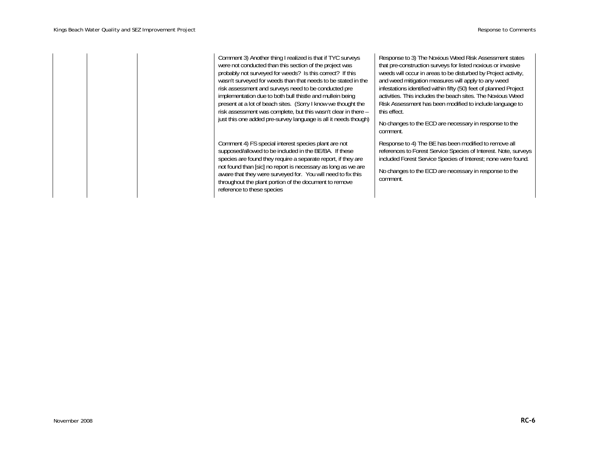Comment 3) Another thing I realized is that if TYC surveys were not conducted than this section of the project was probably not surveyed for weeds? Is this correct? If this wasn't surveyed for weeds than that needs to be stated in the risk assessment and surveys need to be conducted pre implementation due to both bull thistle and mullein being present at a lot of beach sites. (Sorry I know we thought the risk assessment was complete, but this wasn't clear in there – just this one added pre-survey language is all it needs though)

Comment 4) FS special interest species plant are not supposed/allowed to be included in the BE/BA. If these species are found they require a separate report, if they are not found than [sic] no report is necessary as long as we are aware that they were surveyed for. You will need to fix this throughout the plant portion of the document to remove reference to these species

Response to 3) The Noxious Weed Risk Assessment states that pre-construction surveys for listed noxious or invasive weeds will occur in areas to be disturbed by Project activity, and weed mitigation measures will apply to any weed infestations identified within fifty (50) feet of planned Project activities. This includes the beach sites. The Noxious Weed Risk Assessment has been modified to include language to this effect.

No changes to the ECD are necessary in response to the comment.

Response to 4) The BE has been modified to remove all references to Forest Service Species of Interest. Note, surveys included Forest Service Species of Interest; none were found.

No changes to the ECD are necessary in response to the comment.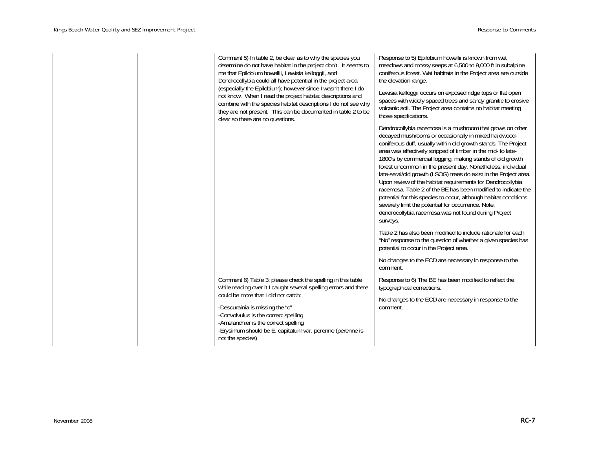|  | Comment 5) In table 2, be clear as to why the species you<br>determine do not have habitat in the project don't. It seems to<br>me that Epilobium howellii, Lewisia kelloggii, and<br>Dendrocollybia could all have potential in the project area                                                  | Response to 5) Epilobium howellii is known from wet<br>meadows and mossy seeps at 6,500 to 9,000 ft in subalpine<br>coniferous forest. Wet habitats in the Project area are outside<br>the elevation range.                                                                                                                                                                                                                                                                                                                                                                                                                                                                                                                                                                      |  |
|--|----------------------------------------------------------------------------------------------------------------------------------------------------------------------------------------------------------------------------------------------------------------------------------------------------|----------------------------------------------------------------------------------------------------------------------------------------------------------------------------------------------------------------------------------------------------------------------------------------------------------------------------------------------------------------------------------------------------------------------------------------------------------------------------------------------------------------------------------------------------------------------------------------------------------------------------------------------------------------------------------------------------------------------------------------------------------------------------------|--|
|  | (especially the Epilobium); however since I wasn't there I do<br>not know. When I read the project habitat descriptions and<br>combine with the species habitat descriptions I do not see why<br>they are not present. This can be documented in table 2 to be<br>clear so there are no questions. | Lewisia kelloggii occurs on exposed ridge tops or flat open<br>spaces with widely spaced trees and sandy granitic to erosive<br>volcanic soil. The Project area contains no habitat meeting<br>those specifications.                                                                                                                                                                                                                                                                                                                                                                                                                                                                                                                                                             |  |
|  |                                                                                                                                                                                                                                                                                                    | Dendrocollybia racemosa is a mushroom that grows on other<br>decayed mushrooms or occasionally in mixed hardwood-<br>coniferous duff, usually within old growth stands. The Project<br>area was effectively stripped of timber in the mid- to late-<br>1800's by commercial logging, making stands of old growth<br>forest uncommon in the present day. Nonetheless, individual<br>late-seral/old growth (LSOG) trees do exist in the Project area.<br>Upon review of the habitat requirements for Dendrocollybia<br>racemosa, Table 2 of the BE has been modified to indicate the<br>potential for this species to occur, although habitat conditions<br>severely limit the potential for occurrence. Note,<br>dendrocollybia racemosa was not found during Project<br>surveys. |  |
|  |                                                                                                                                                                                                                                                                                                    | Table 2 has also been modified to include rationale for each<br>"No" response to the question of whether a given species has<br>potential to occur in the Project area.                                                                                                                                                                                                                                                                                                                                                                                                                                                                                                                                                                                                          |  |
|  |                                                                                                                                                                                                                                                                                                    | No changes to the ECD are necessary in response to the<br>comment.                                                                                                                                                                                                                                                                                                                                                                                                                                                                                                                                                                                                                                                                                                               |  |
|  | Comment 6) Table 3: please check the spelling in this table<br>while reading over it I caught several spelling errors and there                                                                                                                                                                    | Response to 6) The BE has been modified to reflect the<br>typographical corrections.                                                                                                                                                                                                                                                                                                                                                                                                                                                                                                                                                                                                                                                                                             |  |
|  | could be more that I did not catch:<br>-Descurainia is missing the "c"<br>-Convolvulus is the correct spelling<br>-Amelanchier is the correct spelling<br>-Erysimum should be E. capitatum var. perenne (perenne is<br>not the species)                                                            | No changes to the ECD are necessary in response to the<br>comment.                                                                                                                                                                                                                                                                                                                                                                                                                                                                                                                                                                                                                                                                                                               |  |